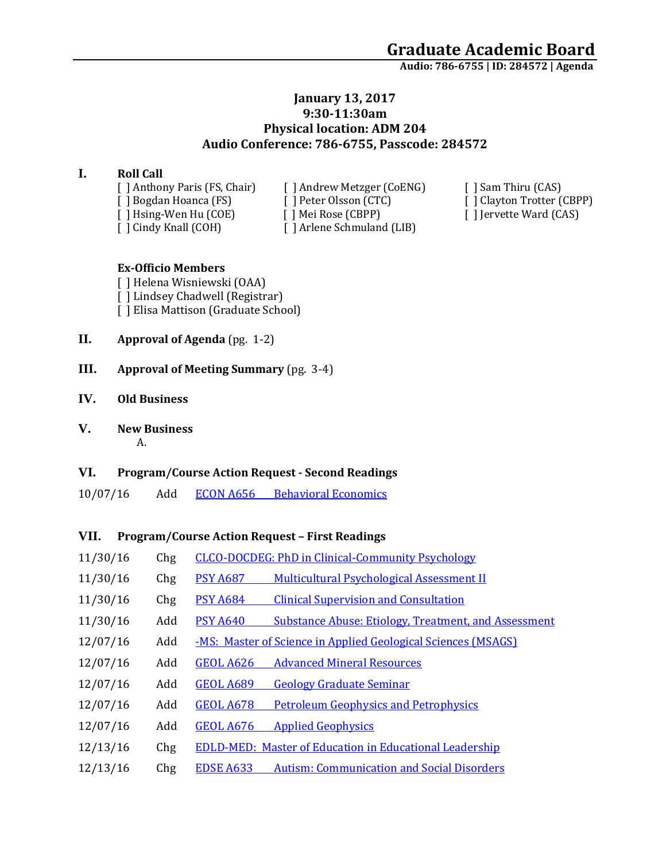**Audio: 786-6755 | ID: 284572 <sup>|</sup> Agenda**

### **January 13, 2017 9:30-11:30am Physical location: ADM 204 Audio Conference: 786-6755, Passcode: 284572**

#### **I. Roll Call**

[ ] Anthony Paris (FS, Chair) [ ] Andrew Metzger (CoENG) [ ] Sam Thiru (CAS) [ ] Cindy Knall (COH) [ ] Arlene Schmuland (LIB)

[ ] Bogdan Hoanca (FS) [ ] Peter Olsson (CTC) [ ] Clayton Trotter (CBPP) [ ] Hsing-Wen Hu (COE) [ ] Mei Rose (CBPP) [ ] Jervette Ward (CAS)

#### **Ex-Officio Members**

[ ] Helena Wisniewski (OAA) [ ] Lindsey Chadwell (Registrar) [ ] Elisa Mattison (Graduate School)

- **II. Approval of Agenda** (pg. 1-2)
- **III. Approval of Meeting Summary** (pg. 3-4)
- **IV. Old Business**
- **V. New Business**

A.

## **VI. Program/Course Action Request - Second Readings**

10/07/16 Add ECON A656 [Behavioral Economics](https://nextcatalog.uaa.alaska.edu/courseleaf/courseleaf.cgi?page=/courseadmin/7341/index.html&step=tcadiff)

## **VII. Program/Course Action Request – First Readings**

| 11/30/16 | Chg | <b>CLCO-DOCDEG: PhD in Clinical-Community Psychology</b>                       |
|----------|-----|--------------------------------------------------------------------------------|
| 11/30/16 | Chg | <b>Multicultural Psychological Assessment II</b><br><b>PSY A687</b>            |
| 11/30/16 | Chg | <b>PSY A684</b><br><b>Clinical Supervision and Consultation</b>                |
| 11/30/16 | Add | <b>PSY A640</b><br><b>Substance Abuse: Etiology, Treatment, and Assessment</b> |
| 12/07/16 | Add | -MS: Master of Science in Applied Geological Sciences (MSAGS)                  |
| 12/07/16 | Add | <b>GEOL A626</b><br><b>Advanced Mineral Resources</b>                          |
| 12/07/16 | Add | <b>GEOL A689</b><br><b>Geology Graduate Seminar</b>                            |
| 12/07/16 | Add | <b>GEOL A678</b><br><b>Petroleum Geophysics and Petrophysics</b>               |
| 12/07/16 | Add | <b>GEOL A676</b><br><b>Applied Geophysics</b>                                  |
| 12/13/16 | Chg | <b>EDLD-MED: Master of Education in Educational Leadership</b>                 |
| 12/13/16 | Chg | <b>Autism: Communication and Social Disorders</b><br><b>EDSE A633</b>          |
|          |     |                                                                                |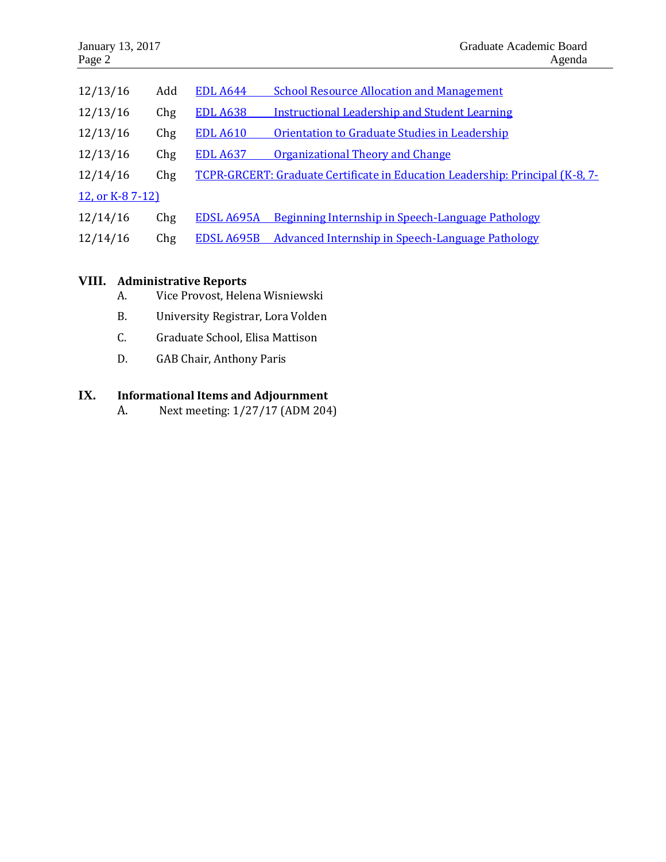| 12/13/16        | Add | <b>EDL A644</b> | <b>School Resource Allocation and Management</b>                              |  |  |
|-----------------|-----|-----------------|-------------------------------------------------------------------------------|--|--|
| 12/13/16        | Chg | <b>EDL A638</b> | <b>Instructional Leadership and Student Learning</b>                          |  |  |
| 12/13/16        | Chg | <b>EDL A610</b> | Orientation to Graduate Studies in Leadership                                 |  |  |
| 12/13/16        | Chg | <b>EDL A637</b> | <b>Organizational Theory and Change</b>                                       |  |  |
| 12/14/16        | Chg |                 | TCPR-GRCERT: Graduate Certificate in Education Leadership: Principal (K-8, 7- |  |  |
| 12, or K-87-12) |     |                 |                                                                               |  |  |
| 12/14/16        | Chg | EDSL A695A      | Beginning Internship in Speech-Language Pathology                             |  |  |
| 12/14/16        | Chg | EDSL A695B      | Advanced Internship in Speech-Language Pathology                              |  |  |

## **VIII. Administrative Reports**

- A. Vice Provost, Helena Wisniewski
- B. University Registrar, Lora Volden
- C. Graduate School, Elisa Mattison
- D. GAB Chair, Anthony Paris

# **IX. Informational Items and Adjournment**

A. Next meeting: 1/27/17 (ADM 204)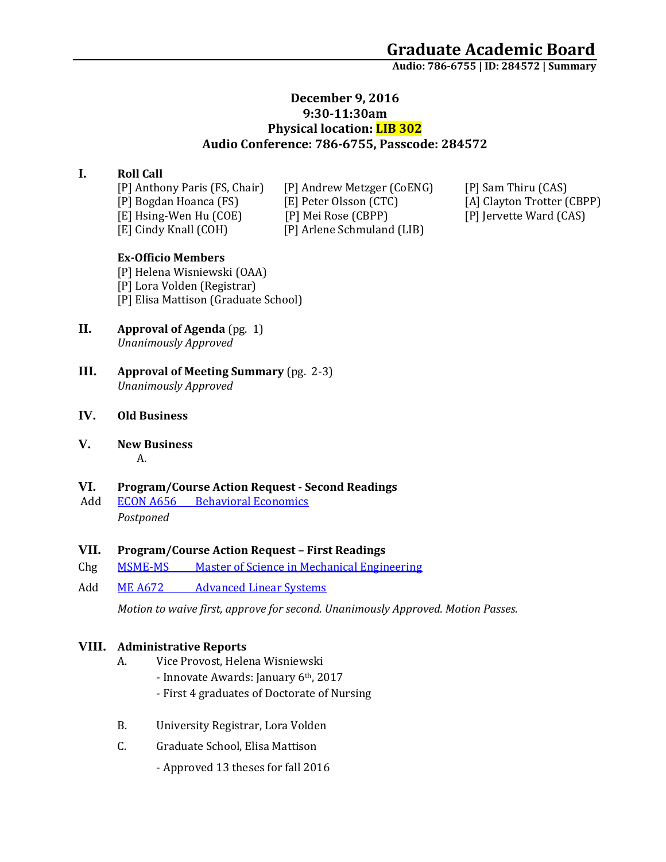**Audio: 786-6755 | ID: 284572 <sup>|</sup> Summary**

## **December 9, 2016 9:30-11:30am Physical location: LIB 302 Audio Conference: 786-6755, Passcode: 284572**

## **I. Roll Call**

[E] Cindy Knall (COH) [P] Arlene Schmuland (LIB)

[P] Anthony Paris (FS, Chair) [P] Andrew Metzger (CoENG) [P] Sam Thiru (CAS) [P] Bogdan Hoanca (FS) [E] Peter Olsson (CTC) [A] Clayton Trotter (CBPP) [E] Hsing-Wen Hu (COE) [P] Mei Rose (CBPP) [P] Jervette Ward (CAS)

#### **Ex-Officio Members**

[P] Helena Wisniewski (OAA) [P] Lora Volden (Registrar) [P] Elisa Mattison (Graduate School)

- **II. Approval of Agenda** (pg. 1) *Unanimously Approved*
- **III. Approval of Meeting Summary** (pg. 2-3) *Unanimously Approved*

#### **IV. Old Business**

**V. New Business** A.

#### **VI. Program/Course Action Request - Second Readings**

Add ECON A656 [Behavioral Economics](https://nextcatalog.uaa.alaska.edu/courseleaf/courseleaf.cgi?page=/courseadmin/7341/index.html&step=tcadiff) *Postponed*

#### **VII. Program/Course Action Request – First Readings**

- Chg MSME-MS [Master of Science in Mechanical Engineering](https://nextcatalog.uaa.alaska.edu/courseleaf/courseleaf.cgi?page=/programadmin/32/index.html&step=tcadiff)
- Add ME A672 [Advanced Linear Systems](https://nextcatalog.uaa.alaska.edu/courseleaf/courseleaf.cgi?page=/courseadmin/6293/index.html&step=tcadiff)

*Motion to waive first, approve for second. Unanimously Approved. Motion Passes.* 

#### **VIII. Administrative Reports**

- A. Vice Provost, Helena Wisniewski
	- Innovate Awards: January 6th, 2017
	- First 4 graduates of Doctorate of Nursing
- B. University Registrar, Lora Volden
- C. Graduate School, Elisa Mattison
	- Approved 13 theses for fall 2016